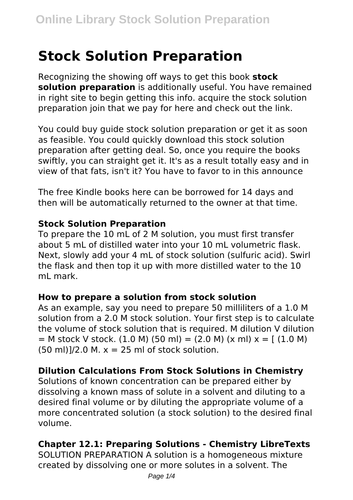# **Stock Solution Preparation**

Recognizing the showing off ways to get this book **stock solution preparation** is additionally useful. You have remained in right site to begin getting this info. acquire the stock solution preparation join that we pay for here and check out the link.

You could buy guide stock solution preparation or get it as soon as feasible. You could quickly download this stock solution preparation after getting deal. So, once you require the books swiftly, you can straight get it. It's as a result totally easy and in view of that fats, isn't it? You have to favor to in this announce

The free Kindle books here can be borrowed for 14 days and then will be automatically returned to the owner at that time.

### **Stock Solution Preparation**

To prepare the 10 mL of 2 M solution, you must first transfer about 5 mL of distilled water into your 10 mL volumetric flask. Next, slowly add your 4 mL of stock solution (sulfuric acid). Swirl the flask and then top it up with more distilled water to the 10 ml mark.

### **How to prepare a solution from stock solution**

As an example, say you need to prepare 50 milliliters of a 1.0 M solution from a 2.0 M stock solution. Your first step is to calculate the volume of stock solution that is required. M dilution V dilution  $=$  M stock V stock. (1.0 M) (50 ml) = (2.0 M) (x ml) x = [ (1.0 M)  $(50 \text{ ml})$ 1/2.0 M,  $x = 25 \text{ ml}$  of stock solution.

# **Dilution Calculations From Stock Solutions in Chemistry**

Solutions of known concentration can be prepared either by dissolving a known mass of solute in a solvent and diluting to a desired final volume or by diluting the appropriate volume of a more concentrated solution (a stock solution) to the desired final volume.

# **Chapter 12.1: Preparing Solutions - Chemistry LibreTexts**

SOLUTION PREPARATION A solution is a homogeneous mixture created by dissolving one or more solutes in a solvent. The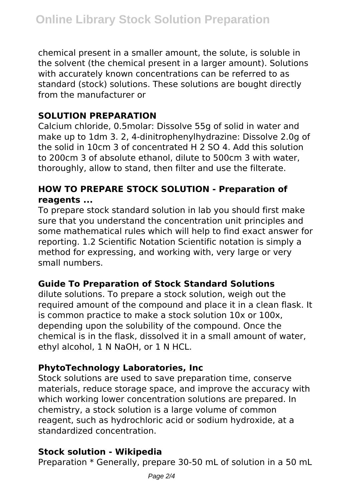chemical present in a smaller amount, the solute, is soluble in the solvent (the chemical present in a larger amount). Solutions with accurately known concentrations can be referred to as standard (stock) solutions. These solutions are bought directly from the manufacturer or

## **SOLUTION PREPARATION**

Calcium chloride, 0.5molar: Dissolve 55g of solid in water and make up to 1dm 3. 2, 4-dinitrophenylhydrazine: Dissolve 2.0g of the solid in 10cm 3 of concentrated H 2 SO 4. Add this solution to 200cm 3 of absolute ethanol, dilute to 500cm 3 with water, thoroughly, allow to stand, then filter and use the filterate.

## **HOW TO PREPARE STOCK SOLUTION - Preparation of reagents ...**

To prepare stock standard solution in lab you should first make sure that you understand the concentration unit principles and some mathematical rules which will help to find exact answer for reporting. 1.2 Scientific Notation Scientific notation is simply a method for expressing, and working with, very large or very small numbers.

### **Guide To Preparation of Stock Standard Solutions**

dilute solutions. To prepare a stock solution, weigh out the required amount of the compound and place it in a clean flask. It is common practice to make a stock solution 10x or 100x, depending upon the solubility of the compound. Once the chemical is in the flask, dissolved it in a small amount of water, ethyl alcohol, 1 N NaOH, or 1 N HCL.

# **PhytoTechnology Laboratories, Inc**

Stock solutions are used to save preparation time, conserve materials, reduce storage space, and improve the accuracy with which working lower concentration solutions are prepared. In chemistry, a stock solution is a large volume of common reagent, such as hydrochloric acid or sodium hydroxide, at a standardized concentration.

### **Stock solution - Wikipedia**

Preparation \* Generally, prepare 30-50 mL of solution in a 50 mL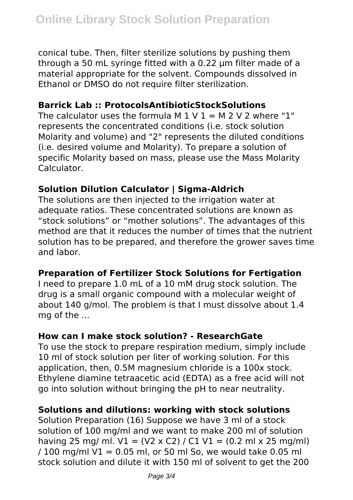conical tube. Then, filter sterilize solutions by pushing them through a 50 mL syringe fitted with a 0.22 µm filter made of a material appropriate for the solvent. Compounds dissolved in Ethanol or DMSO do not require filter sterilization.

### **Barrick Lab :: ProtocolsAntibioticStockSolutions**

The calculator uses the formula M  $1 \vee 1 = M 2 \vee 2$  where "1" represents the concentrated conditions (i.e. stock solution Molarity and volume) and "2" represents the diluted conditions (i.e. desired volume and Molarity). To prepare a solution of specific Molarity based on mass, please use the Mass Molarity Calculator.

## **Solution Dilution Calculator | Sigma-Aldrich**

The solutions are then injected to the irrigation water at adequate ratios. These concentrated solutions are known as "stock solutions" or "mother solutions". The advantages of this method are that it reduces the number of times that the nutrient solution has to be prepared, and therefore the grower saves time and labor.

### **Preparation of Fertilizer Stock Solutions for Fertigation**

I need to prepare 1.0 mL of a 10 mM drug stock solution. The drug is a small organic compound with a molecular weight of about 140 g/mol. The problem is that I must dissolve about 1.4 mg of the ...

### **How can I make stock solution? - ResearchGate**

To use the stock to prepare respiration medium, simply include 10 ml of stock solution per liter of working solution. For this application, then, 0.5M magnesium chloride is a 100x stock. Ethylene diamine tetraacetic acid (EDTA) as a free acid will not go into solution without bringing the pH to near neutrality.

### **Solutions and dilutions: working with stock solutions**

Solution Preparation (16) Suppose we have 3 ml of a stock solution of 100 mg/ml and we want to make 200 ml of solution having 25 mg/ ml.  $V1 = (V2 \times C2) / C1 V1 = (0.2 \text{ ml} \times 25 \text{ mg/ml})$  $/ 100$  mg/ml V1 = 0.05 ml, or 50 ml So, we would take 0.05 ml stock solution and dilute it with 150 ml of solvent to get the 200